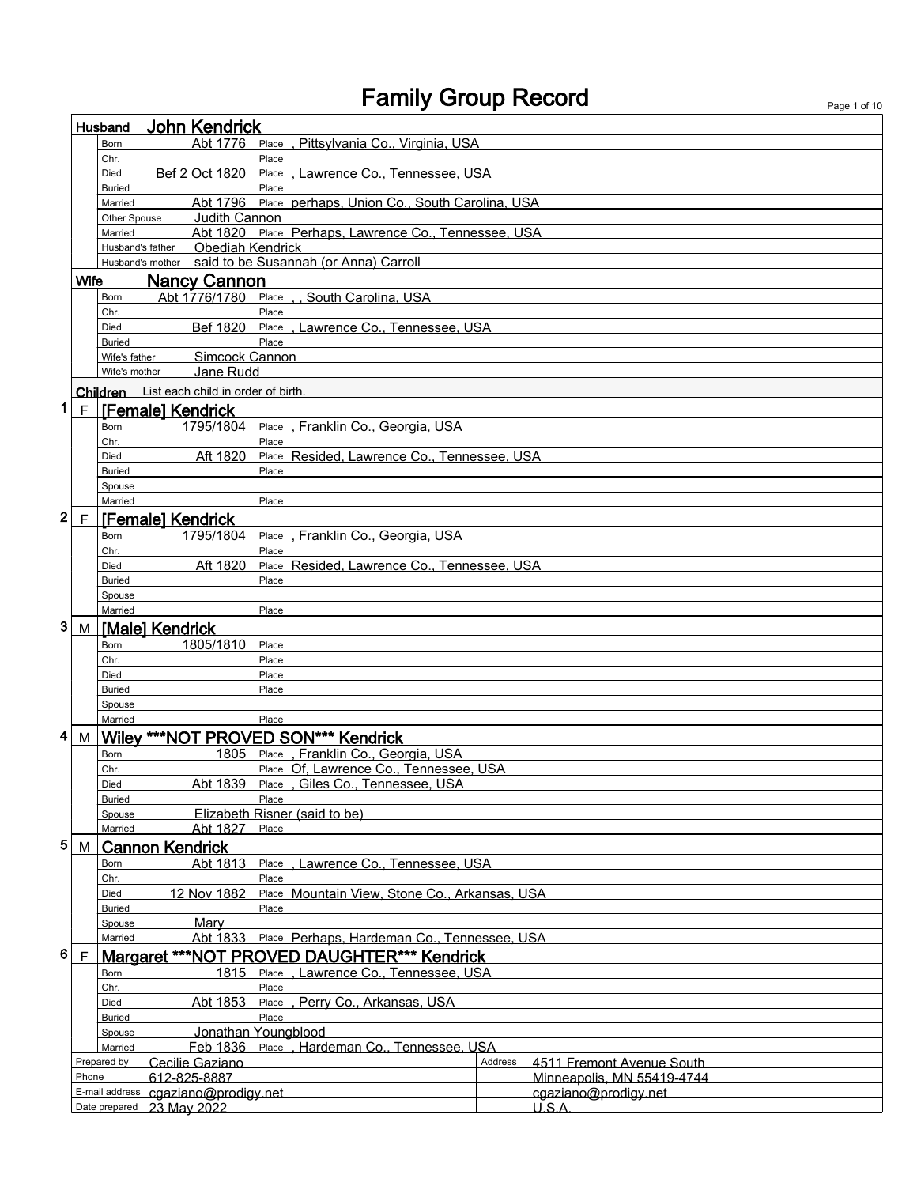|                                                                          |                                                        | <b>John Kendrick</b><br>Husband                |                         |                                                        |         |                                                         |  |  |
|--------------------------------------------------------------------------|--------------------------------------------------------|------------------------------------------------|-------------------------|--------------------------------------------------------|---------|---------------------------------------------------------|--|--|
|                                                                          |                                                        | Born                                           | Abt 1776                | Pittsylvania Co., Virginia, USA<br>Place               |         |                                                         |  |  |
|                                                                          |                                                        | Chr.                                           |                         | Place                                                  |         |                                                         |  |  |
|                                                                          |                                                        | Bef 2 Oct 1820<br>Died<br><b>Buried</b>        |                         | , Lawrence Co., Tennessee, USA<br>Place<br>Place       |         |                                                         |  |  |
|                                                                          |                                                        | Married                                        |                         | Abt 1796 Place perhaps, Union Co., South Carolina, USA |         |                                                         |  |  |
|                                                                          |                                                        | Other Spouse                                   | Judith Cannon           |                                                        |         |                                                         |  |  |
|                                                                          |                                                        | Married                                        |                         | Abt 1820 Place Perhaps, Lawrence Co., Tennessee, USA   |         |                                                         |  |  |
|                                                                          |                                                        | Husband's father                               | <b>Obediah Kendrick</b> |                                                        |         |                                                         |  |  |
|                                                                          | Husband's mother said to be Susannah (or Anna) Carroll |                                                |                         |                                                        |         |                                                         |  |  |
|                                                                          | Wife                                                   | <b>Nancy Cannon</b>                            |                         |                                                        |         |                                                         |  |  |
|                                                                          |                                                        | Abt 1776/1780<br>Born                          |                         | Place , , South Carolina, USA                          |         |                                                         |  |  |
| Chr.<br>Place<br>Place, Lawrence Co., Tennessee, USA<br>Bef 1820<br>Died |                                                        |                                                |                         |                                                        |         |                                                         |  |  |
| Place<br><b>Buried</b>                                                   |                                                        |                                                |                         |                                                        |         |                                                         |  |  |
|                                                                          |                                                        | Wife's father                                  | Simcock Cannon          |                                                        |         |                                                         |  |  |
|                                                                          |                                                        | Wife's mother                                  | Jane Rudd               |                                                        |         |                                                         |  |  |
|                                                                          |                                                        | Children List each child in order of birth     |                         |                                                        |         |                                                         |  |  |
| 1                                                                        |                                                        | F <b>[Female] Kendrick</b>                     |                         |                                                        |         |                                                         |  |  |
|                                                                          |                                                        | Born                                           | 1795/1804               | Place, Franklin Co., Georgia, USA                      |         |                                                         |  |  |
|                                                                          |                                                        | Chr.                                           |                         | Place                                                  |         |                                                         |  |  |
|                                                                          |                                                        | Died                                           | Aft 1820                | Place Resided, Lawrence Co., Tennessee, USA            |         |                                                         |  |  |
|                                                                          |                                                        | <b>Buried</b>                                  |                         | Place                                                  |         |                                                         |  |  |
|                                                                          |                                                        | Spouse                                         |                         |                                                        |         |                                                         |  |  |
|                                                                          |                                                        | Married                                        |                         | Place                                                  |         |                                                         |  |  |
| 2                                                                        |                                                        | <b>F</b> [Female] Kendrick                     |                         |                                                        |         |                                                         |  |  |
|                                                                          |                                                        | Born                                           | 1795/1804               | Place, Franklin Co., Georgia, USA                      |         |                                                         |  |  |
|                                                                          |                                                        | Chr.                                           |                         | Place                                                  |         |                                                         |  |  |
|                                                                          |                                                        | <b>Died</b>                                    | Aft 1820                | Place Resided, Lawrence Co., Tennessee, USA            |         |                                                         |  |  |
|                                                                          |                                                        | <b>Buried</b><br>Spouse                        |                         | Place                                                  |         |                                                         |  |  |
|                                                                          |                                                        | Married                                        |                         | Place                                                  |         |                                                         |  |  |
| 3                                                                        |                                                        | M Male] Kendrick                               |                         |                                                        |         |                                                         |  |  |
| 1805/1810<br>Born<br>Place                                               |                                                        |                                                |                         |                                                        |         |                                                         |  |  |
|                                                                          |                                                        | Chr.                                           |                         | Place                                                  |         |                                                         |  |  |
|                                                                          |                                                        | Died                                           |                         | Place                                                  |         |                                                         |  |  |
|                                                                          |                                                        | <b>Buried</b>                                  |                         | Place                                                  |         |                                                         |  |  |
|                                                                          |                                                        | Spouse                                         |                         |                                                        |         |                                                         |  |  |
|                                                                          |                                                        | Married                                        |                         | Place                                                  |         |                                                         |  |  |
| 4                                                                        |                                                        |                                                |                         | M Wiley ***NOT PROVED SON*** Kendrick                  |         |                                                         |  |  |
|                                                                          |                                                        | <b>Born</b>                                    |                         | 1805 Place, Franklin Co., Georgia, USA                 |         |                                                         |  |  |
|                                                                          |                                                        | Chr.                                           |                         | Place Of, Lawrence Co., Tennessee, USA                 |         |                                                         |  |  |
|                                                                          |                                                        | Died<br><b>Buried</b>                          |                         | Abt 1839 Place , Giles Co., Tennessee, USA<br>Place    |         |                                                         |  |  |
|                                                                          |                                                        | Spouse                                         |                         | Elizabeth Risner (said to be)                          |         |                                                         |  |  |
|                                                                          |                                                        | Married                                        | Abt 1827                | Place                                                  |         |                                                         |  |  |
| 5                                                                        | M                                                      | <b>Cannon Kendrick</b>                         |                         |                                                        |         |                                                         |  |  |
|                                                                          |                                                        | Born                                           | Abt 1813                | Lawrence Co., Tennessee, USA<br>Place                  |         |                                                         |  |  |
|                                                                          |                                                        | Chr.                                           |                         | Place                                                  |         |                                                         |  |  |
|                                                                          |                                                        | 12 Nov 1882<br>Died                            |                         | Place Mountain View, Stone Co., Arkansas, USA          |         |                                                         |  |  |
|                                                                          |                                                        | <b>Buried</b>                                  |                         | Place                                                  |         |                                                         |  |  |
|                                                                          |                                                        | Mary<br>Spouse                                 |                         |                                                        |         |                                                         |  |  |
|                                                                          |                                                        | Married                                        |                         | Abt 1833 Place Perhaps, Hardeman Co., Tennessee, USA   |         |                                                         |  |  |
| 6                                                                        | F                                                      |                                                |                         | Margaret *** NOT PROVED DAUGHTER*** Kendrick           |         |                                                         |  |  |
|                                                                          |                                                        | Born                                           | 1815                    | Place, Lawrence Co., Tennessee, USA                    |         |                                                         |  |  |
|                                                                          |                                                        | Chr.                                           |                         | Place                                                  |         |                                                         |  |  |
|                                                                          |                                                        | Died                                           | Abt 1853                | Place, Perry Co., Arkansas, USA                        |         |                                                         |  |  |
|                                                                          |                                                        | <b>Buried</b>                                  |                         | Place                                                  |         |                                                         |  |  |
|                                                                          |                                                        | Spouse                                         |                         | Jonathan Youngblood                                    |         |                                                         |  |  |
|                                                                          |                                                        | Married                                        | Feb 1836                | Hardeman Co., Tennessee, USA<br>Place                  |         |                                                         |  |  |
|                                                                          | Phone                                                  | Cecilie Gaziano<br>Prepared by<br>612-825-8887 |                         |                                                        | Address | 4511 Fremont Avenue South<br>Minneapolis, MN 55419-4744 |  |  |
|                                                                          |                                                        | E-mail address cgaziano@prodigy.net            |                         |                                                        |         | cgaziano@prodigy.net                                    |  |  |
|                                                                          |                                                        | Date prepared 23 May 2022                      |                         |                                                        |         | U.S.A.                                                  |  |  |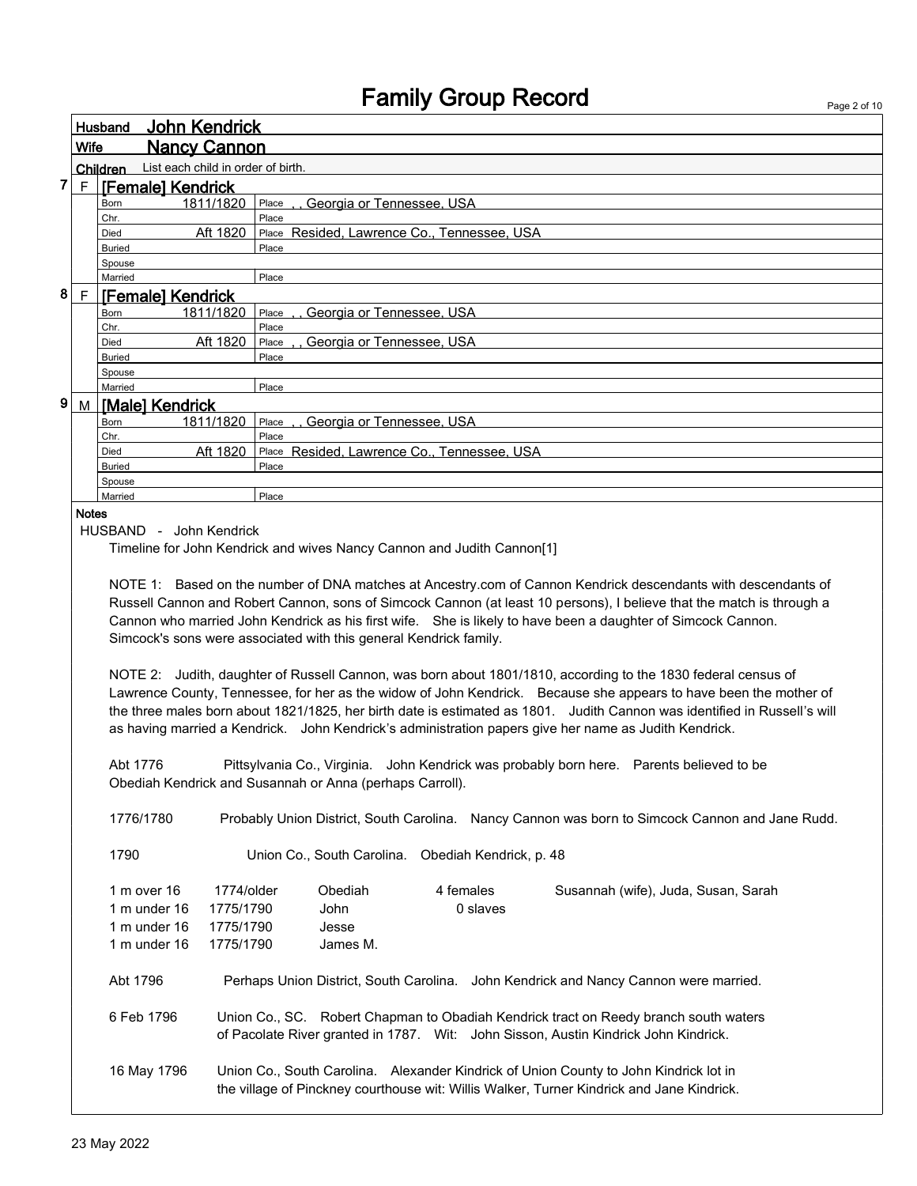|                                                                                                              |                                                                                                                                                                                                                                        |                                                               |                                                                   | <b>Fallilly Group Record</b>                | Page 2 of 10                                                                                                              |  |  |  |
|--------------------------------------------------------------------------------------------------------------|----------------------------------------------------------------------------------------------------------------------------------------------------------------------------------------------------------------------------------------|---------------------------------------------------------------|-------------------------------------------------------------------|---------------------------------------------|---------------------------------------------------------------------------------------------------------------------------|--|--|--|
|                                                                                                              |                                                                                                                                                                                                                                        | John Kendrick<br>Husband                                      |                                                                   |                                             |                                                                                                                           |  |  |  |
|                                                                                                              | <b>Nancy Cannon</b><br>Wife                                                                                                                                                                                                            |                                                               |                                                                   |                                             |                                                                                                                           |  |  |  |
|                                                                                                              |                                                                                                                                                                                                                                        | List each child in order of birth.<br>Children                |                                                                   |                                             |                                                                                                                           |  |  |  |
| 7                                                                                                            | $\mathsf F$                                                                                                                                                                                                                            | [Female] Kendrick                                             |                                                                   |                                             |                                                                                                                           |  |  |  |
|                                                                                                              |                                                                                                                                                                                                                                        | 1811/1820<br>Born                                             | ,, Georgia or Tennessee, USA<br>Place                             |                                             |                                                                                                                           |  |  |  |
|                                                                                                              |                                                                                                                                                                                                                                        | Chr.                                                          | Place                                                             |                                             |                                                                                                                           |  |  |  |
|                                                                                                              |                                                                                                                                                                                                                                        | Aft 1820<br>Died                                              |                                                                   | Place Resided, Lawrence Co., Tennessee, USA |                                                                                                                           |  |  |  |
|                                                                                                              |                                                                                                                                                                                                                                        | <b>Buried</b>                                                 | Place                                                             |                                             |                                                                                                                           |  |  |  |
|                                                                                                              |                                                                                                                                                                                                                                        | Spouse                                                        |                                                                   |                                             |                                                                                                                           |  |  |  |
|                                                                                                              |                                                                                                                                                                                                                                        | Married                                                       | Place                                                             |                                             |                                                                                                                           |  |  |  |
| 8                                                                                                            | $\mathsf F$                                                                                                                                                                                                                            | <b>[Female] Kendrick</b>                                      |                                                                   |                                             |                                                                                                                           |  |  |  |
|                                                                                                              |                                                                                                                                                                                                                                        | 1811/1820<br>Born<br>Chr.                                     | Place<br>Place                                                    | Georgia or Tennessee, USA                   |                                                                                                                           |  |  |  |
|                                                                                                              |                                                                                                                                                                                                                                        | Aft 1820<br>Died                                              | Place                                                             | Georgia or Tennessee, USA                   |                                                                                                                           |  |  |  |
|                                                                                                              |                                                                                                                                                                                                                                        | <b>Buried</b>                                                 | Place                                                             |                                             |                                                                                                                           |  |  |  |
|                                                                                                              |                                                                                                                                                                                                                                        | Spouse                                                        |                                                                   |                                             |                                                                                                                           |  |  |  |
|                                                                                                              |                                                                                                                                                                                                                                        | Married                                                       | Place                                                             |                                             |                                                                                                                           |  |  |  |
| 9                                                                                                            | M                                                                                                                                                                                                                                      | <b>IMalel Kendrick</b>                                        |                                                                   |                                             |                                                                                                                           |  |  |  |
|                                                                                                              |                                                                                                                                                                                                                                        | 1811/1820<br>Born                                             | Place, Georgia or Tennessee, USA                                  |                                             |                                                                                                                           |  |  |  |
|                                                                                                              |                                                                                                                                                                                                                                        | Chr.                                                          | Place                                                             |                                             |                                                                                                                           |  |  |  |
|                                                                                                              |                                                                                                                                                                                                                                        | Aft 1820<br>Died                                              |                                                                   | Place Resided, Lawrence Co., Tennessee, USA |                                                                                                                           |  |  |  |
|                                                                                                              |                                                                                                                                                                                                                                        | <b>Buried</b>                                                 | Place                                                             |                                             |                                                                                                                           |  |  |  |
|                                                                                                              |                                                                                                                                                                                                                                        | Spouse<br>Married                                             | Place                                                             |                                             |                                                                                                                           |  |  |  |
|                                                                                                              | <b>Notes</b>                                                                                                                                                                                                                           |                                                               |                                                                   |                                             |                                                                                                                           |  |  |  |
| HUSBAND - John Kendrick                                                                                      |                                                                                                                                                                                                                                        |                                                               |                                                                   |                                             |                                                                                                                           |  |  |  |
|                                                                                                              |                                                                                                                                                                                                                                        |                                                               |                                                                   |                                             |                                                                                                                           |  |  |  |
| Timeline for John Kendrick and wives Nancy Cannon and Judith Cannon[1]                                       |                                                                                                                                                                                                                                        |                                                               |                                                                   |                                             |                                                                                                                           |  |  |  |
|                                                                                                              |                                                                                                                                                                                                                                        |                                                               |                                                                   |                                             |                                                                                                                           |  |  |  |
|                                                                                                              | NOTE 1: Based on the number of DNA matches at Ancestry.com of Cannon Kendrick descendants with descendants of<br>Russell Cannon and Robert Cannon, sons of Simcock Cannon (at least 10 persons), I believe that the match is through a |                                                               |                                                                   |                                             |                                                                                                                           |  |  |  |
|                                                                                                              |                                                                                                                                                                                                                                        |                                                               |                                                                   |                                             |                                                                                                                           |  |  |  |
|                                                                                                              |                                                                                                                                                                                                                                        |                                                               |                                                                   |                                             | Cannon who married John Kendrick as his first wife. She is likely to have been a daughter of Simcock Cannon.              |  |  |  |
|                                                                                                              |                                                                                                                                                                                                                                        |                                                               | Simcock's sons were associated with this general Kendrick family. |                                             |                                                                                                                           |  |  |  |
|                                                                                                              |                                                                                                                                                                                                                                        |                                                               |                                                                   |                                             |                                                                                                                           |  |  |  |
|                                                                                                              |                                                                                                                                                                                                                                        |                                                               |                                                                   |                                             | NOTE 2: Judith, daughter of Russell Cannon, was born about 1801/1810, according to the 1830 federal census of             |  |  |  |
|                                                                                                              |                                                                                                                                                                                                                                        |                                                               |                                                                   |                                             | Lawrence County, Tennessee, for her as the widow of John Kendrick. Because she appears to have been the mother of         |  |  |  |
|                                                                                                              |                                                                                                                                                                                                                                        |                                                               |                                                                   |                                             | the three males born about 1821/1825, her birth date is estimated as 1801. Judith Cannon was identified in Russell's will |  |  |  |
|                                                                                                              |                                                                                                                                                                                                                                        |                                                               |                                                                   |                                             | as having married a Kendrick. John Kendrick's administration papers give her name as Judith Kendrick.                     |  |  |  |
|                                                                                                              |                                                                                                                                                                                                                                        |                                                               |                                                                   |                                             |                                                                                                                           |  |  |  |
|                                                                                                              |                                                                                                                                                                                                                                        | Abt 1776                                                      |                                                                   |                                             | Pittsylvania Co., Virginia. John Kendrick was probably born here. Parents believed to be                                  |  |  |  |
|                                                                                                              |                                                                                                                                                                                                                                        |                                                               | Obediah Kendrick and Susannah or Anna (perhaps Carroll).          |                                             |                                                                                                                           |  |  |  |
|                                                                                                              |                                                                                                                                                                                                                                        |                                                               |                                                                   |                                             |                                                                                                                           |  |  |  |
| 1776/1780<br>Probably Union District, South Carolina. Nancy Cannon was born to Simcock Cannon and Jane Rudd. |                                                                                                                                                                                                                                        |                                                               |                                                                   |                                             |                                                                                                                           |  |  |  |
|                                                                                                              |                                                                                                                                                                                                                                        |                                                               |                                                                   |                                             |                                                                                                                           |  |  |  |
|                                                                                                              |                                                                                                                                                                                                                                        | 1790<br>Union Co., South Carolina.<br>Obediah Kendrick, p. 48 |                                                                   |                                             |                                                                                                                           |  |  |  |
|                                                                                                              |                                                                                                                                                                                                                                        | 1 m over 16                                                   | Obediah<br>1774/older                                             | 4 females                                   | Susannah (wife), Juda, Susan, Sarah                                                                                       |  |  |  |

| <u>III UVCI IU</u> | 1714/00G  | <b>ODCUIAII</b> | <del>4</del> IGHRIGS | Ousannan (wile), Juua, Ousan, Oaran                                                       |
|--------------------|-----------|-----------------|----------------------|-------------------------------------------------------------------------------------------|
| 1 m under 16       | 1775/1790 | John            | 0 slaves             |                                                                                           |
| 1 m under 16       | 1775/1790 | Jesse           |                      |                                                                                           |
| 1 m under 16       | 1775/1790 | James M.        |                      |                                                                                           |
|                    |           |                 |                      |                                                                                           |
| Abt 1796           |           |                 |                      | Perhaps Union District, South Carolina. John Kendrick and Nancy Cannon were married.      |
|                    |           |                 |                      |                                                                                           |
| 6 Feb 1796         |           |                 |                      | Union Co., SC. Robert Chapman to Obadiah Kendrick tract on Reedy branch south waters      |
|                    |           |                 |                      | of Pacolate River granted in 1787. Wit: John Sisson, Austin Kindrick John Kindrick.       |
|                    |           |                 |                      |                                                                                           |
| 16 May 1796        |           |                 |                      | Union Co., South Carolina. Alexander Kindrick of Union County to John Kindrick lot in     |
|                    |           |                 |                      | the village of Pinckney courthouse wit: Willis Walker, Turner Kindrick and Jane Kindrick. |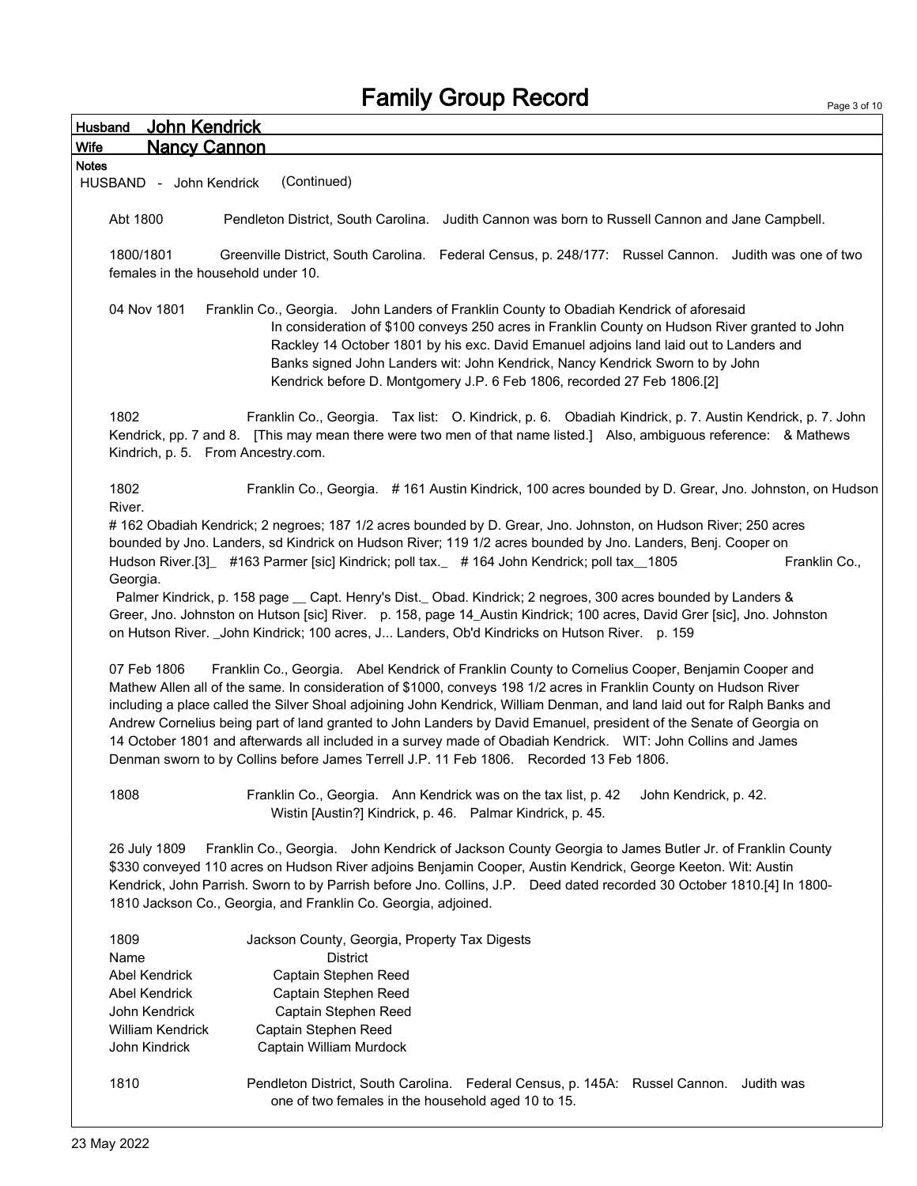Page 3 of 10

| <b>Husband</b> | John Kendrick                      |                                                                                                                                                                                                                                                                                                                                                                                                                                                                                                                                                                                                                                                                                        |
|----------------|------------------------------------|----------------------------------------------------------------------------------------------------------------------------------------------------------------------------------------------------------------------------------------------------------------------------------------------------------------------------------------------------------------------------------------------------------------------------------------------------------------------------------------------------------------------------------------------------------------------------------------------------------------------------------------------------------------------------------------|
| <b>Wife</b>    | <b>Nancy Cannon</b>                |                                                                                                                                                                                                                                                                                                                                                                                                                                                                                                                                                                                                                                                                                        |
| <b>Notes</b>   |                                    |                                                                                                                                                                                                                                                                                                                                                                                                                                                                                                                                                                                                                                                                                        |
|                | HUSBAND - John Kendrick            | (Continued)                                                                                                                                                                                                                                                                                                                                                                                                                                                                                                                                                                                                                                                                            |
| Abt 1800       |                                    | Pendleton District, South Carolina. Judith Cannon was born to Russell Cannon and Jane Campbell.                                                                                                                                                                                                                                                                                                                                                                                                                                                                                                                                                                                        |
| 1800/1801      | females in the household under 10. | Greenville District, South Carolina. Federal Census, p. 248/177: Russel Cannon. Judith was one of two                                                                                                                                                                                                                                                                                                                                                                                                                                                                                                                                                                                  |
|                | 04 Nov 1801                        | Franklin Co., Georgia. John Landers of Franklin County to Obadiah Kendrick of aforesaid<br>In consideration of \$100 conveys 250 acres in Franklin County on Hudson River granted to John<br>Rackley 14 October 1801 by his exc. David Emanuel adjoins land laid out to Landers and<br>Banks signed John Landers wit: John Kendrick, Nancy Kendrick Sworn to by John<br>Kendrick before D. Montgomery J.P. 6 Feb 1806, recorded 27 Feb 1806.[2]                                                                                                                                                                                                                                        |
| 1802           | Kindrich, p. 5. From Ancestry.com. | Franklin Co., Georgia. Tax list: O. Kindrick, p. 6. Obadiah Kindrick, p. 7. Austin Kendrick, p. 7. John<br>Kendrick, pp. 7 and 8. [This may mean there were two men of that name listed.] Also, ambiguous reference: & Mathews                                                                                                                                                                                                                                                                                                                                                                                                                                                         |
| 1802<br>River. |                                    | Franklin Co., Georgia. #161 Austin Kindrick, 100 acres bounded by D. Grear, Jno. Johnston, on Hudson                                                                                                                                                                                                                                                                                                                                                                                                                                                                                                                                                                                   |
| Georgia.       |                                    | #162 Obadiah Kendrick; 2 negroes; 187 1/2 acres bounded by D. Grear, Jno. Johnston, on Hudson River; 250 acres<br>bounded by Jno. Landers, sd Kindrick on Hudson River; 119 1/2 acres bounded by Jno. Landers, Benj. Cooper on<br>Hudson River.[3] #163 Parmer [sic] Kindrick; poll tax. #164 John Kendrick; poll tax _1805<br>Franklin Co.,                                                                                                                                                                                                                                                                                                                                           |
|                |                                    | Palmer Kindrick, p. 158 page _ Capt. Henry's Dist. Obad. Kindrick; 2 negroes, 300 acres bounded by Landers &<br>Greer, Jno. Johnston on Hutson [sic] River. p. 158, page 14_Austin Kindrick; 100 acres, David Grer [sic], Jno. Johnston<br>on Hutson River. _John Kindrick; 100 acres, J Landers, Ob'd Kindricks on Hutson River. p. 159                                                                                                                                                                                                                                                                                                                                               |
|                | 07 Feb 1806                        | Franklin Co., Georgia. Abel Kendrick of Franklin County to Cornelius Cooper, Benjamin Cooper and<br>Mathew Allen all of the same. In consideration of \$1000, conveys 198 1/2 acres in Franklin County on Hudson River<br>including a place called the Silver Shoal adjoining John Kendrick, William Denman, and land laid out for Ralph Banks and<br>Andrew Cornelius being part of land granted to John Landers by David Emanuel, president of the Senate of Georgia on<br>14 October 1801 and afterwards all included in a survey made of Obadiah Kendrick.  WIT: John Collins and James<br>Denman sworn to by Collins before James Terrell J.P. 11 Feb 1806. Recorded 13 Feb 1806. |
| 1808           |                                    | Franklin Co., Georgia. Ann Kendrick was on the tax list, p. 42<br>John Kendrick, p. 42.<br>Wistin [Austin?] Kindrick, p. 46. Palmar Kindrick, p. 45.                                                                                                                                                                                                                                                                                                                                                                                                                                                                                                                                   |
|                | 26 July 1809                       | Franklin Co., Georgia. John Kendrick of Jackson County Georgia to James Butler Jr. of Franklin County<br>\$330 conveyed 110 acres on Hudson River adjoins Benjamin Cooper, Austin Kendrick, George Keeton. Wit: Austin<br>Kendrick, John Parrish. Sworn to by Parrish before Jno. Collins, J.P. Deed dated recorded 30 October 1810.[4] In 1800-<br>1810 Jackson Co., Georgia, and Franklin Co. Georgia, adjoined.                                                                                                                                                                                                                                                                     |
| 1809<br>Name   |                                    | Jackson County, Georgia, Property Tax Digests<br><b>District</b>                                                                                                                                                                                                                                                                                                                                                                                                                                                                                                                                                                                                                       |
|                | Abel Kendrick                      | Captain Stephen Reed                                                                                                                                                                                                                                                                                                                                                                                                                                                                                                                                                                                                                                                                   |
|                | Abel Kendrick                      | Captain Stephen Reed                                                                                                                                                                                                                                                                                                                                                                                                                                                                                                                                                                                                                                                                   |
|                | John Kendrick                      | Captain Stephen Reed                                                                                                                                                                                                                                                                                                                                                                                                                                                                                                                                                                                                                                                                   |
|                | William Kendrick                   | Captain Stephen Reed                                                                                                                                                                                                                                                                                                                                                                                                                                                                                                                                                                                                                                                                   |
|                | John Kindrick                      | Captain William Murdock                                                                                                                                                                                                                                                                                                                                                                                                                                                                                                                                                                                                                                                                |
| 1810           |                                    | Pendleton District, South Carolina. Federal Census, p. 145A: Russel Cannon.<br>Judith was<br>one of two females in the household aged 10 to 15.                                                                                                                                                                                                                                                                                                                                                                                                                                                                                                                                        |
|                |                                    |                                                                                                                                                                                                                                                                                                                                                                                                                                                                                                                                                                                                                                                                                        |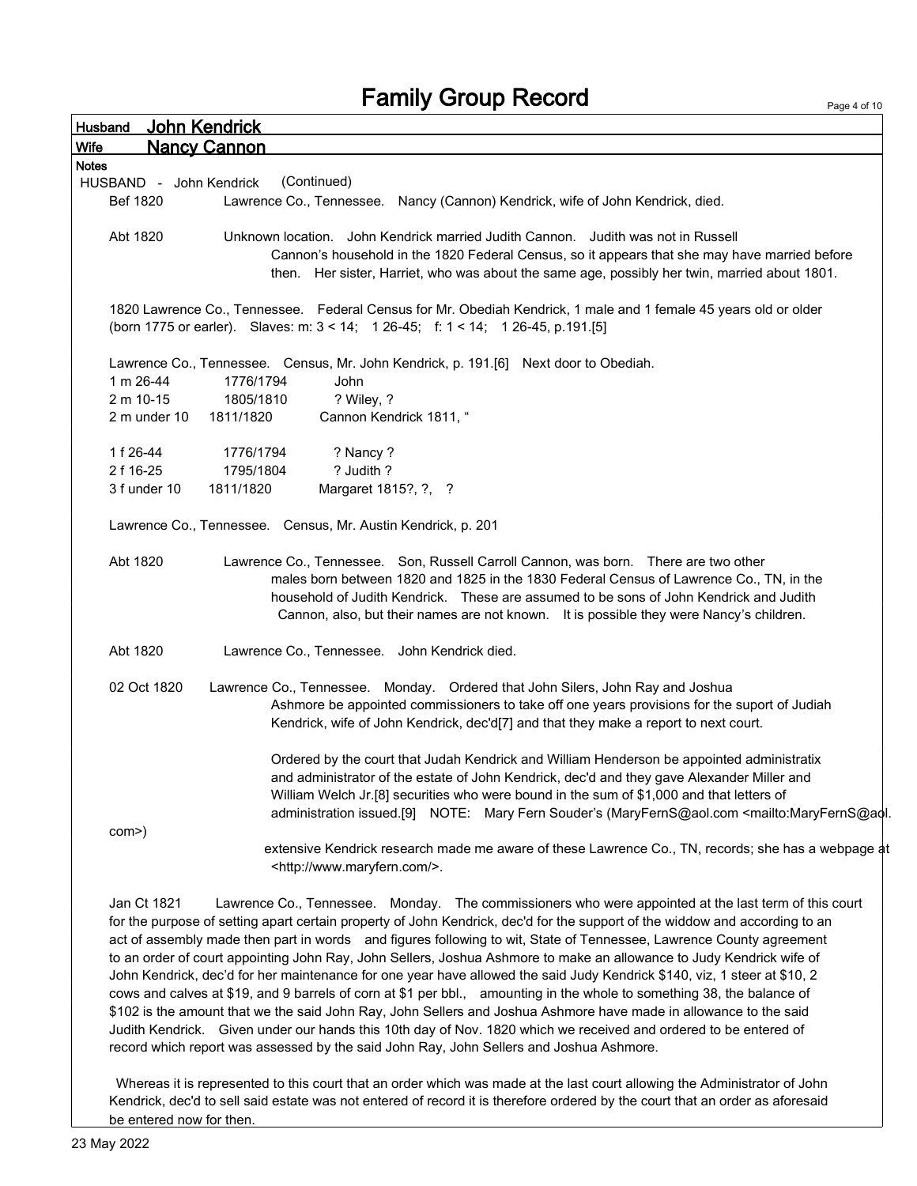| Husband      | John Kendrick                                                                                                                                                                                                                                                                                                                                                                                                                                                                     |
|--------------|-----------------------------------------------------------------------------------------------------------------------------------------------------------------------------------------------------------------------------------------------------------------------------------------------------------------------------------------------------------------------------------------------------------------------------------------------------------------------------------|
| <b>Wife</b>  | <b>Nancy Cannon</b>                                                                                                                                                                                                                                                                                                                                                                                                                                                               |
| <b>Notes</b> |                                                                                                                                                                                                                                                                                                                                                                                                                                                                                   |
|              | (Continued)<br>HUSBAND - John Kendrick                                                                                                                                                                                                                                                                                                                                                                                                                                            |
| Bef 1820     | Lawrence Co., Tennessee. Nancy (Cannon) Kendrick, wife of John Kendrick, died.                                                                                                                                                                                                                                                                                                                                                                                                    |
| Abt 1820     | Unknown location. John Kendrick married Judith Cannon. Judith was not in Russell                                                                                                                                                                                                                                                                                                                                                                                                  |
|              | Cannon's household in the 1820 Federal Census, so it appears that she may have married before<br>then. Her sister, Harriet, who was about the same age, possibly her twin, married about 1801.                                                                                                                                                                                                                                                                                    |
|              | 1820 Lawrence Co., Tennessee. Federal Census for Mr. Obediah Kendrick, 1 male and 1 female 45 years old or older<br>(born 1775 or earler). Slaves: m: 3 < 14; 1 26-45; f: 1 < 14; 1 26-45, p.191.[5]                                                                                                                                                                                                                                                                              |
|              | Lawrence Co., Tennessee. Census, Mr. John Kendrick, p. 191.[6] Next door to Obediah.                                                                                                                                                                                                                                                                                                                                                                                              |
| 1 m 26-44    | 1776/1794<br>John                                                                                                                                                                                                                                                                                                                                                                                                                                                                 |
| 2 m 10-15    | 1805/1810<br>? Wiley, ?                                                                                                                                                                                                                                                                                                                                                                                                                                                           |
| 2 m under 10 | 1811/1820<br>Cannon Kendrick 1811, "                                                                                                                                                                                                                                                                                                                                                                                                                                              |
| 1 f 26-44    | 1776/1794<br>? Nancy ?                                                                                                                                                                                                                                                                                                                                                                                                                                                            |
| 2 f 16-25    | ? Judith ?<br>1795/1804                                                                                                                                                                                                                                                                                                                                                                                                                                                           |
| 3 f under 10 | 1811/1820<br>Margaret 1815?, ?, ?                                                                                                                                                                                                                                                                                                                                                                                                                                                 |
|              | Lawrence Co., Tennessee. Census, Mr. Austin Kendrick, p. 201                                                                                                                                                                                                                                                                                                                                                                                                                      |
| Abt 1820     | Lawrence Co., Tennessee. Son, Russell Carroll Cannon, was born. There are two other<br>males born between 1820 and 1825 in the 1830 Federal Census of Lawrence Co., TN, in the<br>household of Judith Kendrick. These are assumed to be sons of John Kendrick and Judith<br>Cannon, also, but their names are not known. It is possible they were Nancy's children.                                                                                                               |
| Abt 1820     | Lawrence Co., Tennessee. John Kendrick died.                                                                                                                                                                                                                                                                                                                                                                                                                                      |
| 02 Oct 1820  | Lawrence Co., Tennessee. Monday. Ordered that John Silers, John Ray and Joshua<br>Ashmore be appointed commissioners to take off one years provisions for the suport of Judiah<br>Kendrick, wife of John Kendrick, dec'd[7] and that they make a report to next court.                                                                                                                                                                                                            |
|              | Ordered by the court that Judah Kendrick and William Henderson be appointed administratix<br>and administrator of the estate of John Kendrick, dec'd and they gave Alexander Miller and<br>William Welch Jr.[8] securities who were bound in the sum of \$1,000 and that letters of<br>administration issued.[9] NOTE: Mary Fern Souder's (MaryFernS@aol.com <mailto:maryferns@aol.< td=""></mailto:maryferns@aol.<>                                                              |
| com>)        | extensive Kendrick research made me aware of these Lawrence Co., TN, records; she has a webpage at<br><http: www.maryfern.com=""></http:> .                                                                                                                                                                                                                                                                                                                                       |
| Jan Ct 1821  | Lawrence Co., Tennessee. Monday. The commissioners who were appointed at the last term of this court<br>for the purpose of setting apart certain property of John Kendrick, dec'd for the support of the widdow and according to an<br>act of assembly made then part in words and figures following to wit, State of Tennessee, Lawrence County agreement<br>to an order of court appointing John Ray John Sellers, Joshua Ashmore to make an allowance to Judy Kendrick wife of |

to an order of court appointing John Ray, John Sellers, Joshua Ashmore to make an allowance to Judy Kendrick wife of John Kendrick, dec'd for her maintenance for one year have allowed the said Judy Kendrick \$140, viz, 1 steer at \$10, 2 cows and calves at \$19, and 9 barrels of corn at \$1 per bbl., amounting in the whole to something 38, the balance of \$102 is the amount that we the said John Ray, John Sellers and Joshua Ashmore have made in allowance to the said Judith Kendrick. Given under our hands this 10th day of Nov. 1820 which we received and ordered to be entered of record which report was assessed by the said John Ray, John Sellers and Joshua Ashmore.

Whereas it is represented to this court that an order which was made at the last court allowing the Administrator of John Kendrick, dec'd to sell said estate was not entered of record it is therefore ordered by the court that an order as aforesaid be entered now for then.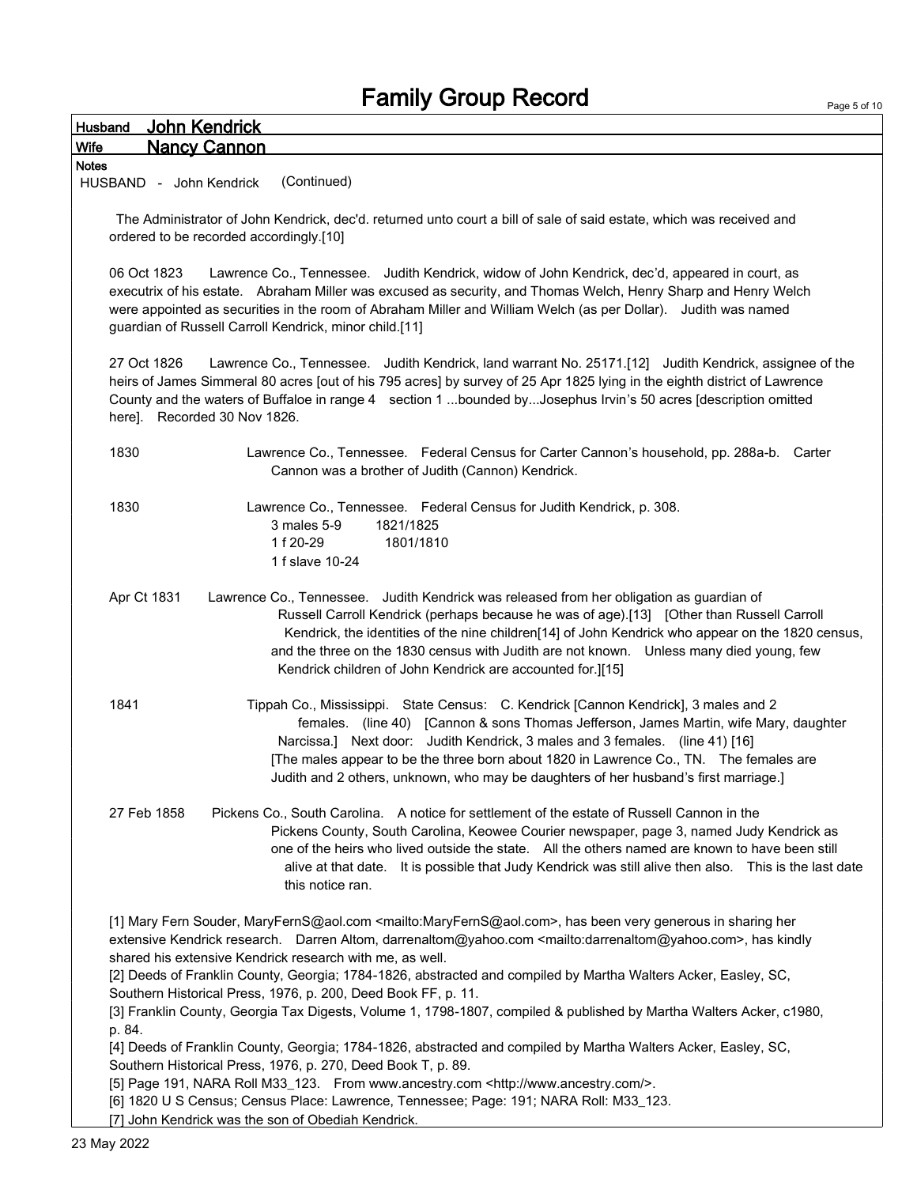| John Kendrick<br>Husband                                                                                                                                                                                                                                                                                                                                                                                                                                            |  |
|---------------------------------------------------------------------------------------------------------------------------------------------------------------------------------------------------------------------------------------------------------------------------------------------------------------------------------------------------------------------------------------------------------------------------------------------------------------------|--|
| <b>Nancy Cannon</b><br>Wife                                                                                                                                                                                                                                                                                                                                                                                                                                         |  |
| <b>Notes</b><br>(Continued)<br>HUSBAND - John Kendrick                                                                                                                                                                                                                                                                                                                                                                                                              |  |
| The Administrator of John Kendrick, dec'd. returned unto court a bill of sale of said estate, which was received and<br>ordered to be recorded accordingly.[10]                                                                                                                                                                                                                                                                                                     |  |
| 06 Oct 1823<br>Lawrence Co., Tennessee. Judith Kendrick, widow of John Kendrick, dec'd, appeared in court, as<br>executrix of his estate. Abraham Miller was excused as security, and Thomas Welch, Henry Sharp and Henry Welch<br>were appointed as securities in the room of Abraham Miller and William Welch (as per Dollar). Judith was named<br>guardian of Russell Carroll Kendrick, minor child.[11]                                                         |  |
| 27 Oct 1826<br>Lawrence Co., Tennessee. Judith Kendrick, land warrant No. 25171.[12] Judith Kendrick, assignee of the<br>heirs of James Simmeral 80 acres [out of his 795 acres] by survey of 25 Apr 1825 lying in the eighth district of Lawrence<br>County and the waters of Buffaloe in range 4 section 1 bounded byJosephus Irvin's 50 acres [description omitted<br>here]. Recorded 30 Nov 1826.                                                               |  |
| 1830<br>Lawrence Co., Tennessee. Federal Census for Carter Cannon's household, pp. 288a-b. Carter<br>Cannon was a brother of Judith (Cannon) Kendrick.                                                                                                                                                                                                                                                                                                              |  |
| 1830<br>Lawrence Co., Tennessee. Federal Census for Judith Kendrick, p. 308.<br>1821/1825<br>3 males 5-9<br>1 f 20-29<br>1801/1810<br>1 f slave 10-24                                                                                                                                                                                                                                                                                                               |  |
| Apr Ct 1831<br>Lawrence Co., Tennessee. Judith Kendrick was released from her obligation as guardian of<br>Russell Carroll Kendrick (perhaps because he was of age).[13] [Other than Russell Carroll<br>Kendrick, the identities of the nine children[14] of John Kendrick who appear on the 1820 census,<br>and the three on the 1830 census with Judith are not known. Unless many died young, few<br>Kendrick children of John Kendrick are accounted for.][15]  |  |
| Tippah Co., Mississippi. State Census: C. Kendrick [Cannon Kendrick], 3 males and 2<br>1841<br>females. (line 40) [Cannon & sons Thomas Jefferson, James Martin, wife Mary, daughter<br>Narcissa.] Next door: Judith Kendrick, 3 males and 3 females. (line 41) [16]<br>[The males appear to be the three born about 1820 in Lawrence Co., TN. The females are<br>Judith and 2 others, unknown, who may be daughters of her husband's first marriage.]              |  |
| 27 Feb 1858<br>Pickens Co., South Carolina. A notice for settlement of the estate of Russell Cannon in the<br>Pickens County, South Carolina, Keowee Courier newspaper, page 3, named Judy Kendrick as<br>one of the heirs who lived outside the state. All the others named are known to have been still<br>alive at that date. It is possible that Judy Kendrick was still alive then also. This is the last date<br>this notice ran.                             |  |
| [1] Mary Fern Souder, MaryFernS@aol.com <mailto:maryferns@aol.com>, has been very generous in sharing her<br/>extensive Kendrick research. Darren Altom, darrenaltom@yahoo.com <mailto:darrenaltom@yahoo.com>, has kindly<br/>shared his extensive Kendrick research with me, as well.<br/>[2] Deeds of Franklin County, Georgia; 1784-1826, abstracted and compiled by Martha Walters Acker, Easley, SC,</mailto:darrenaltom@yahoo.com></mailto:maryferns@aol.com> |  |
| Southern Historical Press, 1976, p. 200, Deed Book FF, p. 11.<br>[3] Franklin County, Georgia Tax Digests, Volume 1, 1798-1807, compiled & published by Martha Walters Acker, c1980,<br>p. 84.                                                                                                                                                                                                                                                                      |  |
| [4] Deeds of Franklin County, Georgia; 1784-1826, abstracted and compiled by Martha Walters Acker, Easley, SC,<br>Southern Historical Press, 1976, p. 270, Deed Book T, p. 89.                                                                                                                                                                                                                                                                                      |  |
| [5] Page 191, NARA Roll M33_123. From www.ancestry.com <http: www.ancestry.com=""></http:> .<br>[6] 1820 U S Census; Census Place: Lawrence, Tennessee; Page: 191; NARA Roll: M33_123.<br>[7] John Kendrick was the son of Obediah Kendrick.                                                                                                                                                                                                                        |  |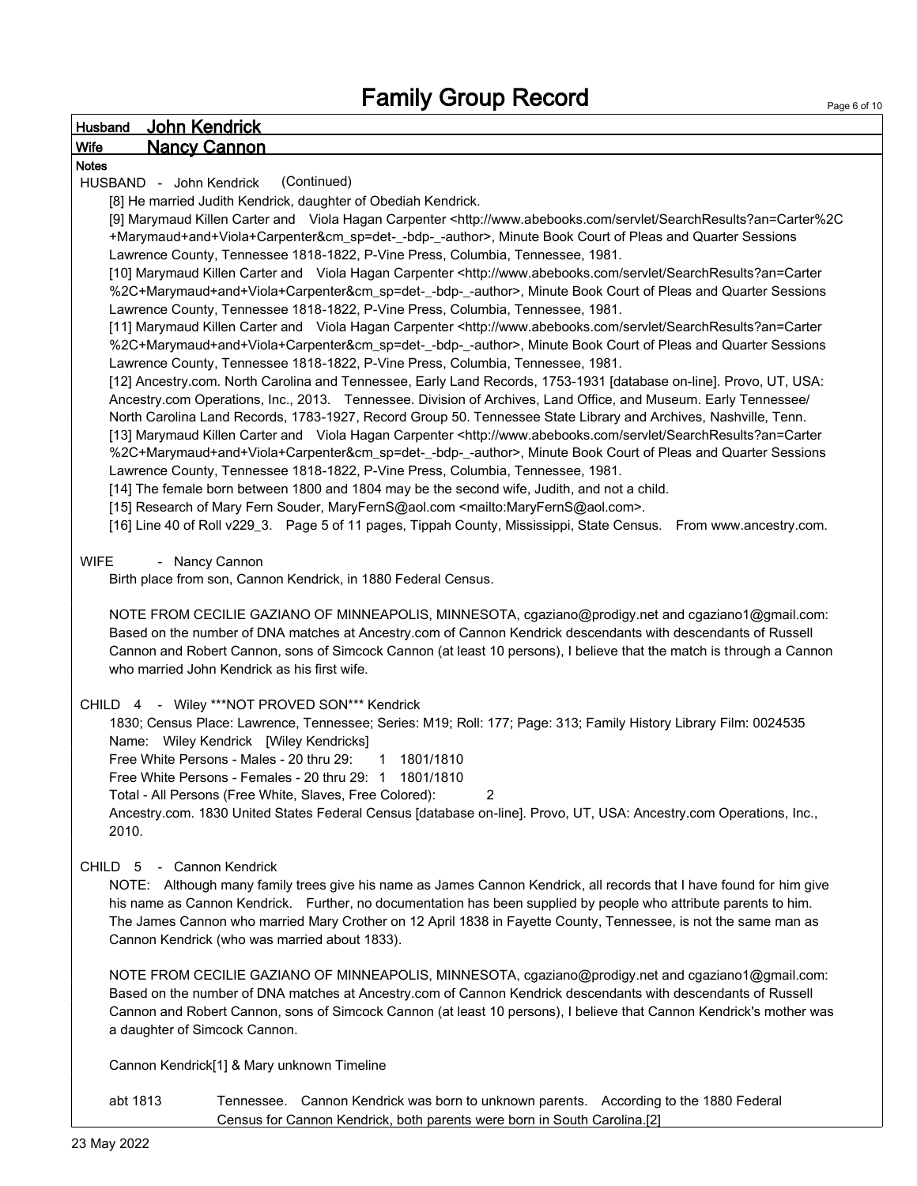| <b>Husband</b> |          | <b>John Kendrick</b>    |                                              |                                                                                                                                                                                                                                   |
|----------------|----------|-------------------------|----------------------------------------------|-----------------------------------------------------------------------------------------------------------------------------------------------------------------------------------------------------------------------------------|
| <b>Wife</b>    |          | <b>Nancy Cannon</b>     |                                              |                                                                                                                                                                                                                                   |
| <b>Notes</b>   |          |                         |                                              |                                                                                                                                                                                                                                   |
|                |          | HUSBAND - John Kendrick |                                              | (Continued)                                                                                                                                                                                                                       |
|                |          |                         |                                              | [8] He married Judith Kendrick, daughter of Obediah Kendrick.                                                                                                                                                                     |
|                |          |                         |                                              | [9] Marymaud Killen Carter and Viola Hagan Carpenter <http: searchresults?an="Carter%2C&lt;/td" servlet="" www.abebooks.com=""></http:>                                                                                           |
|                |          |                         |                                              | +Marymaud+and+Viola+Carpenter&cm_sp=det-_-bdp-_-author>, Minute Book Court of Pleas and Quarter Sessions                                                                                                                          |
|                |          |                         |                                              | Lawrence County, Tennessee 1818-1822, P-Vine Press, Columbia, Tennessee, 1981.<br>[10] Marymaud Killen Carter and Viola Hagan Carpenter <http: searchresults?an="Carter&lt;/td" servlet="" www.abebooks.com=""></http:>           |
|                |          |                         |                                              | %2C+Marymaud+and+Viola+Carpenter&cm_sp=det-_-bdp-_-author>, Minute Book Court of Pleas and Quarter Sessions                                                                                                                       |
|                |          |                         |                                              | Lawrence County, Tennessee 1818-1822, P-Vine Press, Columbia, Tennessee, 1981.                                                                                                                                                    |
|                |          |                         |                                              | [11] Marymaud Killen Carter and Viola Hagan Carpenter <http: searchresults?an="Carter&lt;/td" servlet="" www.abebooks.com=""></http:>                                                                                             |
|                |          |                         |                                              | %2C+Marymaud+and+Viola+Carpenter&cm_sp=det-_-bdp-_-author>, Minute Book Court of Pleas and Quarter Sessions                                                                                                                       |
|                |          |                         |                                              | Lawrence County, Tennessee 1818-1822, P-Vine Press, Columbia, Tennessee, 1981.                                                                                                                                                    |
|                |          |                         |                                              | [12] Ancestry.com. North Carolina and Tennessee, Early Land Records, 1753-1931 [database on-line]. Provo, UT, USA:                                                                                                                |
|                |          |                         |                                              | Ancestry.com Operations, Inc., 2013. Tennessee. Division of Archives, Land Office, and Museum. Early Tennessee/                                                                                                                   |
|                |          |                         |                                              | North Carolina Land Records, 1783-1927, Record Group 50. Tennessee State Library and Archives, Nashville, Tenn.                                                                                                                   |
|                |          |                         |                                              | [13] Marymaud Killen Carter and Viola Hagan Carpenter <http: searchresults?an="Carter&lt;/td" servlet="" www.abebooks.com=""></http:>                                                                                             |
|                |          |                         |                                              | %2C+Marymaud+and+Viola+Carpenter&cm_sp=det-_-bdp-_-author>, Minute Book Court of Pleas and Quarter Sessions                                                                                                                       |
|                |          |                         |                                              | Lawrence County, Tennessee 1818-1822, P-Vine Press, Columbia, Tennessee, 1981.                                                                                                                                                    |
|                |          |                         |                                              | [14] The female born between 1800 and 1804 may be the second wife, Judith, and not a child.                                                                                                                                       |
|                |          |                         |                                              | [15] Research of Mary Fern Souder, MaryFernS@aol.com <mailto:maryferns@aol.com>.<br/>[16] Line 40 of Roll v229_3. Page 5 of 11 pages, Tippah County, Mississippi, State Census. From www.ancestry.com.</mailto:maryferns@aol.com> |
|                |          |                         |                                              |                                                                                                                                                                                                                                   |
| <b>WIFE</b>    |          | - Nancy Cannon          |                                              |                                                                                                                                                                                                                                   |
|                |          |                         |                                              | Birth place from son, Cannon Kendrick, in 1880 Federal Census.                                                                                                                                                                    |
|                |          |                         |                                              |                                                                                                                                                                                                                                   |
|                |          |                         |                                              | NOTE FROM CECILIE GAZIANO OF MINNEAPOLIS, MINNESOTA, cgaziano@prodigy.net and cgaziano1@gmail.com:                                                                                                                                |
|                |          |                         |                                              | Based on the number of DNA matches at Ancestry.com of Cannon Kendrick descendants with descendants of Russell                                                                                                                     |
|                |          |                         |                                              | Cannon and Robert Cannon, sons of Simcock Cannon (at least 10 persons), I believe that the match is through a Cannon                                                                                                              |
|                |          |                         | who married John Kendrick as his first wife. |                                                                                                                                                                                                                                   |
|                |          |                         |                                              |                                                                                                                                                                                                                                   |
|                |          |                         |                                              | CHILD 4 - Wiley ***NOT PROVED SON*** Kendrick                                                                                                                                                                                     |
|                |          |                         | Name: Wiley Kendrick [Wiley Kendricks]       | 1830; Census Place: Lawrence, Tennessee; Series: M19; Roll: 177; Page: 313; Family History Library Film: 0024535                                                                                                                  |
|                |          |                         | Free White Persons - Males - 20 thru 29:     | 1801/1810<br>$\mathbf 1$                                                                                                                                                                                                          |
|                |          |                         |                                              | Free White Persons - Females - 20 thru 29: 1 1801/1810                                                                                                                                                                            |
|                |          |                         |                                              | $\overline{2}$<br>Total - All Persons (Free White, Slaves, Free Colored):                                                                                                                                                         |
|                |          |                         |                                              | Ancestry.com. 1830 United States Federal Census [database on-line]. Provo, UT, USA: Ancestry.com Operations, Inc.,                                                                                                                |
|                | 2010.    |                         |                                              |                                                                                                                                                                                                                                   |
|                |          |                         |                                              |                                                                                                                                                                                                                                   |
| <b>CHILD</b>   | -5       |                         | - Cannon Kendrick                            |                                                                                                                                                                                                                                   |
|                |          |                         |                                              | NOTE: Although many family trees give his name as James Cannon Kendrick, all records that I have found for him give                                                                                                               |
|                |          |                         |                                              | his name as Cannon Kendrick. Further, no documentation has been supplied by people who attribute parents to him.                                                                                                                  |
|                |          |                         |                                              | The James Cannon who married Mary Crother on 12 April 1838 in Fayette County, Tennessee, is not the same man as                                                                                                                   |
|                |          |                         |                                              | Cannon Kendrick (who was married about 1833).                                                                                                                                                                                     |
|                |          |                         |                                              | NOTE FROM CECILIE GAZIANO OF MINNEAPOLIS, MINNESOTA, cgaziano@prodigy.net and cgaziano1@gmail.com:                                                                                                                                |
|                |          |                         |                                              | Based on the number of DNA matches at Ancestry.com of Cannon Kendrick descendants with descendants of Russell                                                                                                                     |
|                |          |                         |                                              | Cannon and Robert Cannon, sons of Simcock Cannon (at least 10 persons), I believe that Cannon Kendrick's mother was                                                                                                               |
|                |          |                         | a daughter of Simcock Cannon.                |                                                                                                                                                                                                                                   |
|                |          |                         |                                              |                                                                                                                                                                                                                                   |
|                |          |                         |                                              | Cannon Kendrick[1] & Mary unknown Timeline                                                                                                                                                                                        |
|                |          |                         |                                              |                                                                                                                                                                                                                                   |
|                | abt 1813 |                         |                                              | Tennessee. Cannon Kendrick was born to unknown parents. According to the 1880 Federal                                                                                                                                             |

Census for Cannon Kendrick, both parents were born in South Carolina.[2]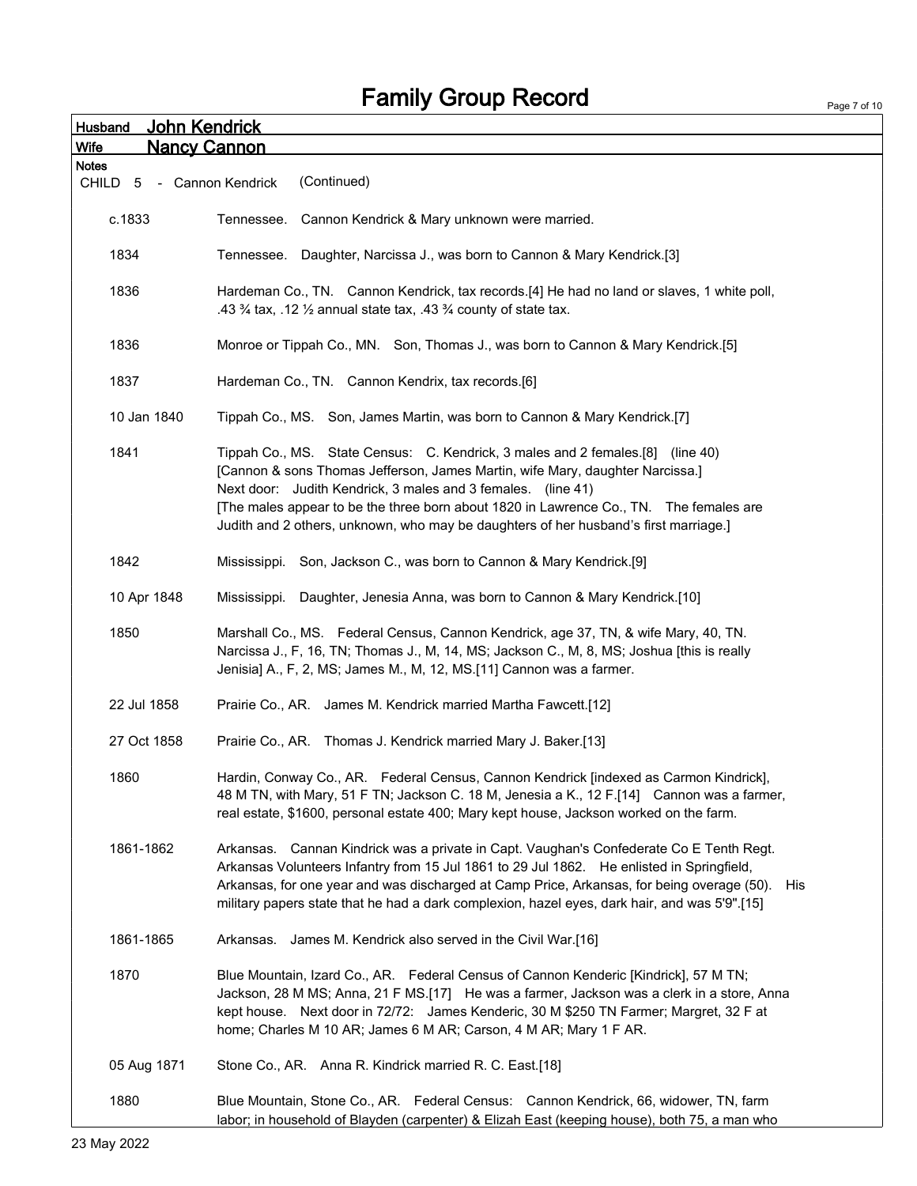|                         | <b>Fallilly Gibup Record</b>                                                                                                                                                                                                                                                                                                                                                               | Page 7 of 10 |
|-------------------------|--------------------------------------------------------------------------------------------------------------------------------------------------------------------------------------------------------------------------------------------------------------------------------------------------------------------------------------------------------------------------------------------|--------------|
| Husband                 | John Kendrick                                                                                                                                                                                                                                                                                                                                                                              |              |
| Wife                    | <b>Nancy Cannon</b>                                                                                                                                                                                                                                                                                                                                                                        |              |
| <b>Notes</b><br>CHILD 5 | (Continued)<br>- Cannon Kendrick                                                                                                                                                                                                                                                                                                                                                           |              |
| c.1833                  | Tennessee.<br>Cannon Kendrick & Mary unknown were married.                                                                                                                                                                                                                                                                                                                                 |              |
| 1834                    | Daughter, Narcissa J., was born to Cannon & Mary Kendrick.[3]<br>Tennessee.                                                                                                                                                                                                                                                                                                                |              |
|                         |                                                                                                                                                                                                                                                                                                                                                                                            |              |
| 1836                    | Hardeman Co., TN. Cannon Kendrick, tax records.[4] He had no land or slaves, 1 white poll,<br>.43 $\frac{3}{4}$ tax, .12 $\frac{1}{2}$ annual state tax, .43 $\frac{3}{4}$ county of state tax.                                                                                                                                                                                            |              |
| 1836                    | Monroe or Tippah Co., MN. Son, Thomas J., was born to Cannon & Mary Kendrick.[5]                                                                                                                                                                                                                                                                                                           |              |
| 1837                    | Hardeman Co., TN. Cannon Kendrix, tax records.[6]                                                                                                                                                                                                                                                                                                                                          |              |
| 10 Jan 1840             | Tippah Co., MS. Son, James Martin, was born to Cannon & Mary Kendrick.[7]                                                                                                                                                                                                                                                                                                                  |              |
| 1841                    | Tippah Co., MS. State Census: C. Kendrick, 3 males and 2 females.[8] (line 40)<br>[Cannon & sons Thomas Jefferson, James Martin, wife Mary, daughter Narcissa.]<br>Next door: Judith Kendrick, 3 males and 3 females. (line 41)                                                                                                                                                            |              |
|                         | [The males appear to be the three born about 1820 in Lawrence Co., TN. The females are<br>Judith and 2 others, unknown, who may be daughters of her husband's first marriage.]                                                                                                                                                                                                             |              |
| 1842                    | Mississippi. Son, Jackson C., was born to Cannon & Mary Kendrick.[9]                                                                                                                                                                                                                                                                                                                       |              |
| 10 Apr 1848             | Mississippi. Daughter, Jenesia Anna, was born to Cannon & Mary Kendrick.[10]                                                                                                                                                                                                                                                                                                               |              |
| 1850                    | Marshall Co., MS. Federal Census, Cannon Kendrick, age 37, TN, & wife Mary, 40, TN.<br>Narcissa J., F, 16, TN; Thomas J., M, 14, MS; Jackson C., M, 8, MS; Joshua [this is really<br>Jenisia] A., F, 2, MS; James M., M, 12, MS.[11] Cannon was a farmer.                                                                                                                                  |              |
| 22 Jul 1858             | Prairie Co., AR. James M. Kendrick married Martha Fawcett.[12]                                                                                                                                                                                                                                                                                                                             |              |
| 27 Oct 1858             | Prairie Co., AR. Thomas J. Kendrick married Mary J. Baker.[13]                                                                                                                                                                                                                                                                                                                             |              |
| 1860                    | Hardin, Conway Co., AR. Federal Census, Cannon Kendrick [indexed as Carmon Kindrick],<br>48 M TN, with Mary, 51 F TN; Jackson C. 18 M, Jenesia a K., 12 F.[14] Cannon was a farmer,<br>real estate, \$1600, personal estate 400; Mary kept house, Jackson worked on the farm.                                                                                                              |              |
| 1861-1862               | Arkansas. Cannan Kindrick was a private in Capt. Vaughan's Confederate Co E Tenth Regt.<br>Arkansas Volunteers Infantry from 15 Jul 1861 to 29 Jul 1862. He enlisted in Springfield,<br>Arkansas, for one year and was discharged at Camp Price, Arkansas, for being overage (50).<br>His<br>military papers state that he had a dark complexion, hazel eyes, dark hair, and was 5'9".[15] |              |
| 1861-1865               | Arkansas. James M. Kendrick also served in the Civil War.[16]                                                                                                                                                                                                                                                                                                                              |              |
| 1870                    | Blue Mountain, Izard Co., AR. Federal Census of Cannon Kenderic [Kindrick], 57 M TN;<br>Jackson, 28 M MS; Anna, 21 F MS.[17] He was a farmer, Jackson was a clerk in a store, Anna<br>kept house. Next door in 72/72: James Kenderic, 30 M \$250 TN Farmer; Margret, 32 F at<br>home; Charles M 10 AR; James 6 M AR; Carson, 4 M AR; Mary 1 F AR.                                          |              |
| 05 Aug 1871             | Stone Co., AR. Anna R. Kindrick married R. C. East.[18]                                                                                                                                                                                                                                                                                                                                    |              |
| 1880                    | Blue Mountain, Stone Co., AR. Federal Census: Cannon Kendrick, 66, widower, TN, farm<br>labor; in household of Blayden (carpenter) & Elizah East (keeping house), both 75, a man who                                                                                                                                                                                                       |              |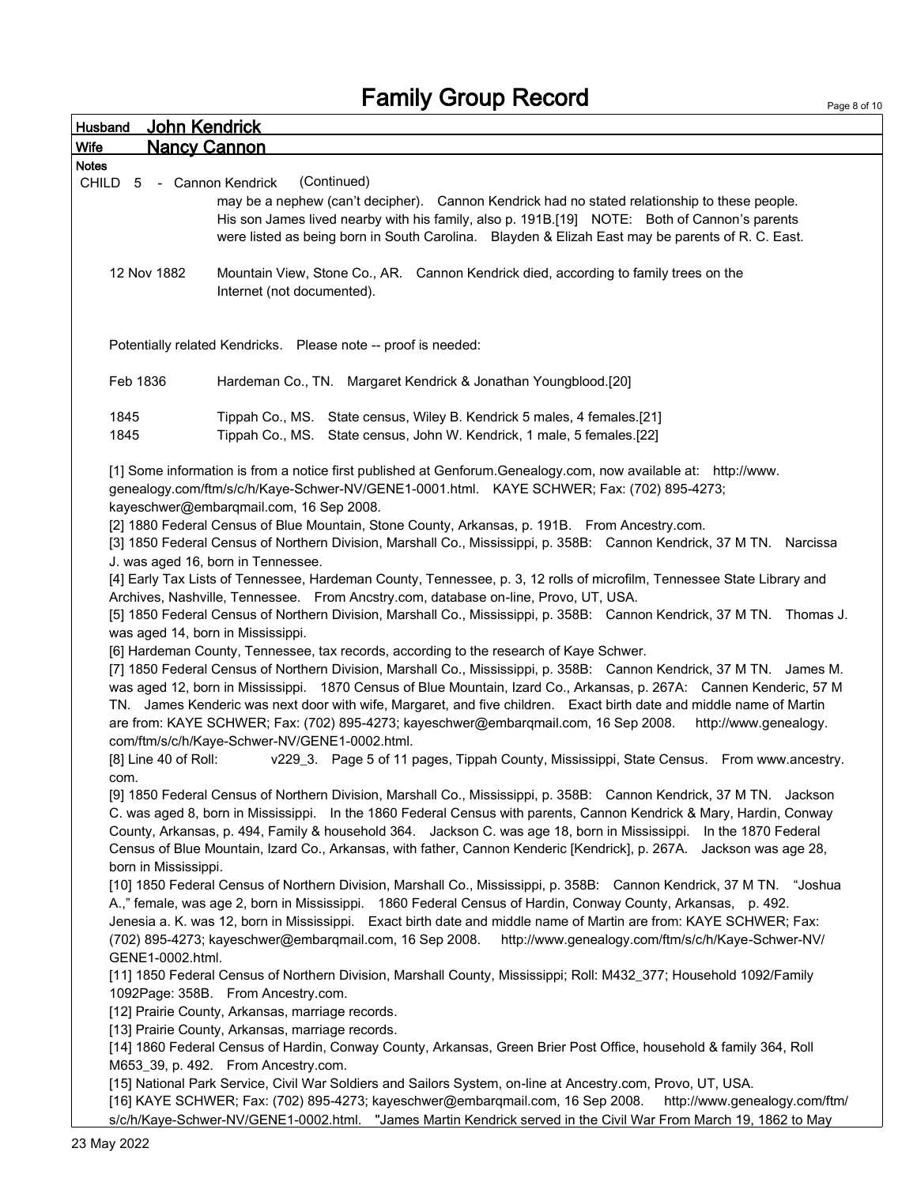Page 8 of 10

| John Kendrick<br>Husband           |                                                                                                                        |
|------------------------------------|------------------------------------------------------------------------------------------------------------------------|
| <b>Nancy Cannon</b><br><b>Wife</b> |                                                                                                                        |
| <b>Notes</b>                       |                                                                                                                        |
| CHILD<br>5 - Cannon Kendrick       | (Continued)                                                                                                            |
|                                    | may be a nephew (can't decipher). Cannon Kendrick had no stated relationship to these people.                          |
|                                    | His son James lived nearby with his family, also p. 191B.[19] NOTE: Both of Cannon's parents                           |
|                                    | were listed as being born in South Carolina. Blayden & Elizah East may be parents of R. C. East.                       |
| 12 Nov 1882                        | Mountain View, Stone Co., AR. Cannon Kendrick died, according to family trees on the                                   |
|                                    | Internet (not documented).                                                                                             |
|                                    |                                                                                                                        |
|                                    |                                                                                                                        |
|                                    | Potentially related Kendricks. Please note -- proof is needed:                                                         |
|                                    |                                                                                                                        |
| Feb 1836                           | Hardeman Co., TN. Margaret Kendrick & Jonathan Youngblood.[20]                                                         |
|                                    |                                                                                                                        |
| 1845                               | Tippah Co., MS. State census, Wiley B. Kendrick 5 males, 4 females.[21]                                                |
| 1845                               | Tippah Co., MS. State census, John W. Kendrick, 1 male, 5 females.[22]                                                 |
|                                    |                                                                                                                        |
|                                    | [1] Some information is from a notice first published at Genforum.Genealogy.com, now available at: http://www.         |
|                                    | genealogy.com/ftm/s/c/h/Kaye-Schwer-NV/GENE1-0001.html. KAYE SCHWER; Fax: (702) 895-4273;                              |
|                                    | kayeschwer@embargmail.com, 16 Sep 2008.                                                                                |
|                                    | [2] 1880 Federal Census of Blue Mountain, Stone County, Arkansas, p. 191B. From Ancestry.com.                          |
|                                    | [3] 1850 Federal Census of Northern Division, Marshall Co., Mississippi, p. 358B: Cannon Kendrick, 37 M TN. Narcissa   |
|                                    | J. was aged 16, born in Tennessee.                                                                                     |
|                                    | [4] Early Tax Lists of Tennessee, Hardeman County, Tennessee, p. 3, 12 rolls of microfilm, Tennessee State Library and |
|                                    | Archives, Nashville, Tennessee. From Ancstry.com, database on-line, Provo, UT, USA.                                    |
|                                    | [5] 1850 Federal Census of Northern Division, Marshall Co., Mississippi, p. 358B: Cannon Kendrick, 37 M TN. Thomas J.  |
| was aged 14, born in Mississippi.  |                                                                                                                        |
|                                    | [6] Hardeman County, Tennessee, tax records, according to the research of Kaye Schwer.                                 |
|                                    | [7] 1850 Federal Census of Northern Division, Marshall Co., Mississippi, p. 358B: Cannon Kendrick, 37 M TN. James M.   |
|                                    | was aged 12, born in Mississippi. 1870 Census of Blue Mountain, Izard Co., Arkansas, p. 267A: Cannen Kenderic, 57 M    |
|                                    | TN. James Kenderic was next door with wife, Margaret, and five children. Exact birth date and middle name of Martin    |
|                                    | are from: KAYE SCHWER; Fax: (702) 895-4273; kayeschwer@embarqmail.com, 16 Sep 2008.<br>http://www.genealogy.           |
|                                    | com/ftm/s/c/h/Kaye-Schwer-NV/GENE1-0002.html.                                                                          |
| [8] Line 40 of Roll:               | v229_3. Page 5 of 11 pages, Tippah County, Mississippi, State Census. From www.ancestry.                               |
| com.                               |                                                                                                                        |
|                                    | [9] 1850 Federal Census of Northern Division, Marshall Co., Mississippi, p. 358B: Cannon Kendrick, 37 M TN. Jackson    |
|                                    | C. was aged 8, born in Mississippi. In the 1860 Federal Census with parents, Cannon Kendrick & Mary, Hardin, Conway    |
|                                    | County, Arkansas, p. 494, Family & household 364. Jackson C. was age 18, born in Mississippi. In the 1870 Federal      |
| born in Mississippi.               | Census of Blue Mountain, Izard Co., Arkansas, with father, Cannon Kenderic [Kendrick], p. 267A. Jackson was age 28,    |
|                                    | [10] 1850 Federal Census of Northern Division, Marshall Co., Mississippi, p. 358B: Cannon Kendrick, 37 M TN. "Joshua   |
|                                    | A.," female, was age 2, born in Mississippi. 1860 Federal Census of Hardin, Conway County, Arkansas, p. 492.           |
|                                    | Jenesia a. K. was 12, born in Mississippi. Exact birth date and middle name of Martin are from: KAYE SCHWER; Fax:      |
|                                    | (702) 895-4273; kayeschwer@embarqmail.com, 16 Sep 2008.<br>http://www.genealogy.com/ftm/s/c/h/Kaye-Schwer-NV/          |
| GENE1-0002.html.                   |                                                                                                                        |
|                                    | [11] 1850 Federal Census of Northern Division, Marshall County, Mississippi; Roll: M432_377; Household 1092/Family     |
|                                    | 1092Page: 358B. From Ancestry.com.                                                                                     |
|                                    | [12] Prairie County, Arkansas, marriage records.                                                                       |
|                                    | [13] Prairie County, Arkansas, marriage records.                                                                       |
|                                    | [14] 1860 Federal Census of Hardin, Conway County, Arkansas, Green Brier Post Office, household & family 364, Roll     |
|                                    | M653_39, p. 492. From Ancestry.com.                                                                                    |
|                                    | [15] National Park Service, Civil War Soldiers and Sailors System, on-line at Ancestry.com, Provo, UT, USA.            |
|                                    | [16] KAYE SCHWER; Fax: (702) 895-4273; kayeschwer@embarqmail.com, 16 Sep 2008.<br>http://www.genealogy.com/ftm/        |
|                                    | s/c/h/Kaye-Schwer-NV/GENE1-0002.html. "James Martin Kendrick served in the Civil War From March 19, 1862 to May        |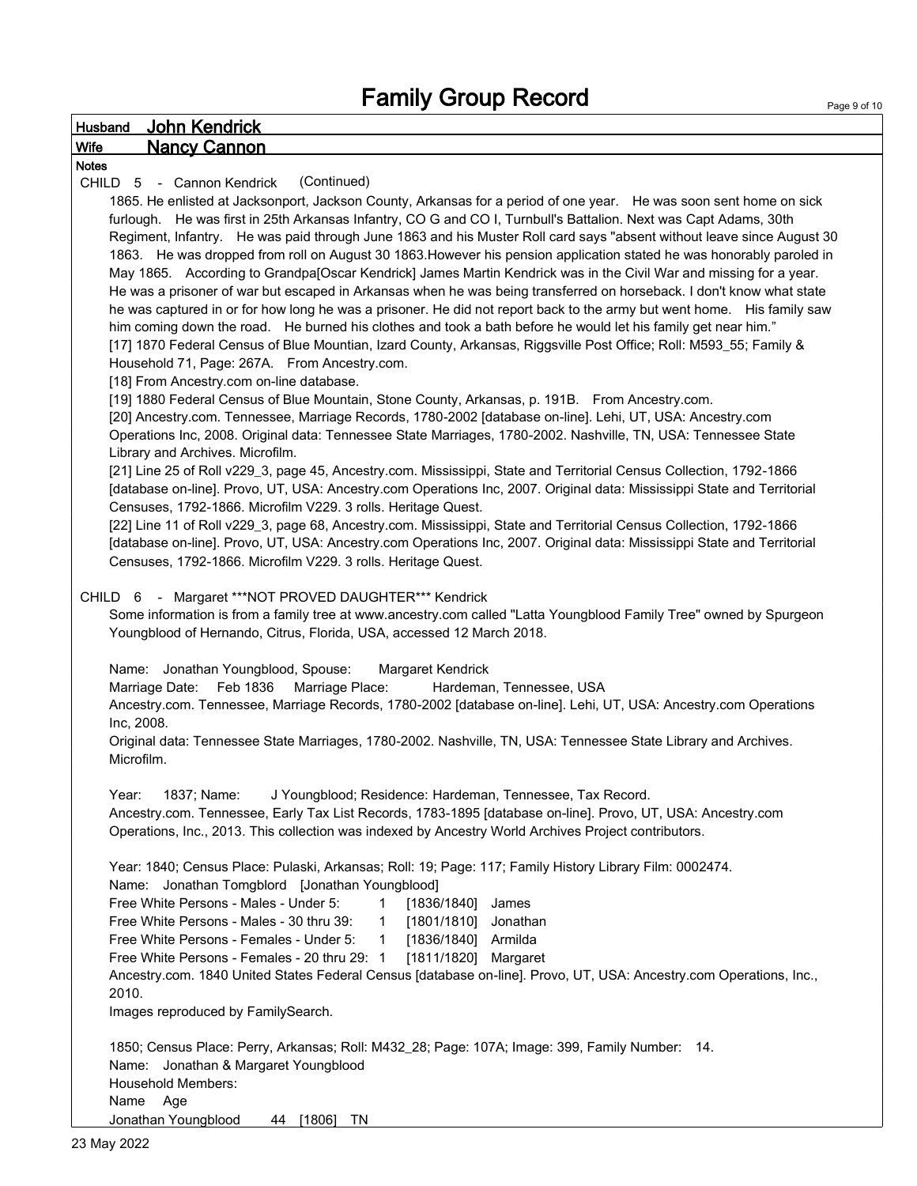#### Husband John Kendrick Wife Nancy Cannon Notes CHILD 5 - Cannon Kendrick (Continued) 1865. He enlisted at Jacksonport, Jackson County, Arkansas for a period of one year. He was soon sent home on sick furlough. He was first in 25th Arkansas Infantry, CO G and CO I, Turnbull's Battalion. Next was Capt Adams, 30th Regiment, Infantry. He was paid through June 1863 and his Muster Roll card says "absent without leave since August 30 1863. He was dropped from roll on August 30 1863.However his pension application stated he was honorably paroled in May 1865. According to Grandpa[Oscar Kendrick] James Martin Kendrick was in the Civil War and missing for a year. He was a prisoner of war but escaped in Arkansas when he was being transferred on horseback. I don't know what state he was captured in or for how long he was a prisoner. He did not report back to the army but went home. His family saw him coming down the road. He burned his clothes and took a bath before he would let his family get near him." [17] 1870 Federal Census of Blue Mountian, Izard County, Arkansas, Riggsville Post Office; Roll: M593\_55; Family & Household 71, Page: 267A. From Ancestry.com. [18] From Ancestry.com on-line database. [19] 1880 Federal Census of Blue Mountain, Stone County, Arkansas, p. 191B. From Ancestry.com. [20] Ancestry.com. Tennessee, Marriage Records, 1780-2002 [database on-line]. Lehi, UT, USA: Ancestry.com Operations Inc, 2008. Original data: Tennessee State Marriages, 1780-2002. Nashville, TN, USA: Tennessee State Library and Archives. Microfilm. [21] Line 25 of Roll v229\_3, page 45, Ancestry.com. Mississippi, State and Territorial Census Collection, 1792-1866 [database on-line]. Provo, UT, USA: Ancestry.com Operations Inc, 2007. Original data: Mississippi State and Territorial Censuses, 1792-1866. Microfilm V229. 3 rolls. Heritage Quest. [22] Line 11 of Roll v229\_3, page 68, Ancestry.com. Mississippi, State and Territorial Census Collection, 1792-1866 [database on-line]. Provo, UT, USA: Ancestry.com Operations Inc, 2007. Original data: Mississippi State and Territorial Censuses, 1792-1866. Microfilm V229. 3 rolls. Heritage Quest. CHILD 6 - Margaret \*\*\*NOT PROVED DAUGHTER\*\*\* Kendrick Some information is from a family tree at www.ancestry.com called "Latta Youngblood Family Tree" owned by Spurgeon Youngblood of Hernando, Citrus, Florida, USA, accessed 12 March 2018. Name: Jonathan Youngblood, Spouse: Margaret Kendrick Marriage Date: Feb 1836 Marriage Place: Hardeman, Tennessee, USA Ancestry.com. Tennessee, Marriage Records, 1780-2002 [database on-line]. Lehi, UT, USA: Ancestry.com Operations Inc, 2008. Original data: Tennessee State Marriages, 1780-2002. Nashville, TN, USA: Tennessee State Library and Archives. Microfilm. Year: 1837; Name: J Youngblood; Residence: Hardeman, Tennessee, Tax Record. Ancestry.com. Tennessee, Early Tax List Records, 1783-1895 [database on-line]. Provo, UT, USA: Ancestry.com Operations, Inc., 2013. This collection was indexed by Ancestry World Archives Project contributors. Year: 1840; Census Place: Pulaski, Arkansas; Roll: 19; Page: 117; Family History Library Film: 0002474. Name: Jonathan Tomgblord [Jonathan Youngblood] Free White Persons - Males - Under 5: 1 [1836/1840] James Free White Persons - Males - 30 thru 39: 1 [1801/1810] Jonathan Free White Persons - Females - Under 5: 1 [1836/1840] Armilda Free White Persons - Females - 20 thru 29: 1 [1811/1820] Margaret Ancestry.com. 1840 United States Federal Census [database on-line]. Provo, UT, USA: Ancestry.com Operations, Inc., 2010. Images reproduced by FamilySearch. 1850; Census Place: Perry, Arkansas; Roll: M432\_28; Page: 107A; Image: 399, Family Number: 14. Name: Jonathan & Margaret Youngblood Household Members: Name Age Jonathan Youngblood 44 [1806] TN